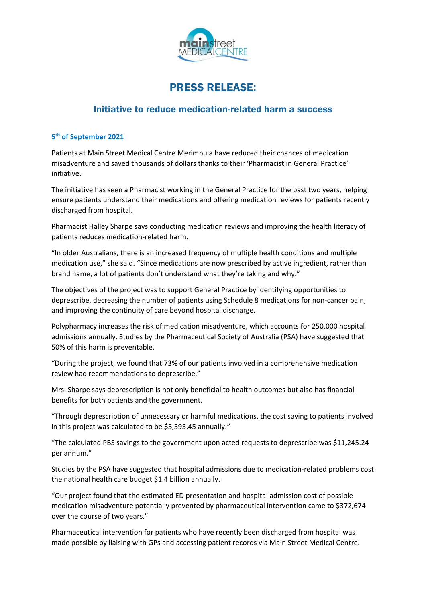

## PRESS RELEASE:

## Initiative to reduce medication-related harm a success

## **5th of September 2021**

Patients at Main Street Medical Centre Merimbula have reduced their chances of medication misadventure and saved thousands of dollars thanks to their 'Pharmacist in General Practice' initiative.

The initiative has seen a Pharmacist working in the General Practice for the past two years, helping ensure patients understand their medications and offering medication reviews for patients recently discharged from hospital.

Pharmacist Halley Sharpe says conducting medication reviews and improving the health literacy of patients reduces medication-related harm.

"In older Australians, there is an increased frequency of multiple health conditions and multiple medication use," she said. "Since medications are now prescribed by active ingredient, rather than brand name, a lot of patients don't understand what they're taking and why."

The objectives of the project was to support General Practice by identifying opportunities to deprescribe, decreasing the number of patients using Schedule 8 medications for non-cancer pain, and improving the continuity of care beyond hospital discharge.

Polypharmacy increases the risk of medication misadventure, which accounts for 250,000 hospital admissions annually. Studies by the Pharmaceutical Society of Australia (PSA) have suggested that 50% of this harm is preventable.

"During the project, we found that 73% of our patients involved in a comprehensive medication review had recommendations to deprescribe."

Mrs. Sharpe says deprescription is not only beneficial to health outcomes but also has financial benefits for both patients and the government.

"Through deprescription of unnecessary or harmful medications, the cost saving to patients involved in this project was calculated to be \$5,595.45 annually."

"The calculated PBS savings to the government upon acted requests to deprescribe was \$11,245.24 per annum."

Studies by the PSA have suggested that hospital admissions due to medication-related problems cost the national health care budget \$1.4 billion annually.

"Our project found that the estimated ED presentation and hospital admission cost of possible medication misadventure potentially prevented by pharmaceutical intervention came to \$372,674 over the course of two years."

Pharmaceutical intervention for patients who have recently been discharged from hospital was made possible by liaising with GPs and accessing patient records via Main Street Medical Centre.